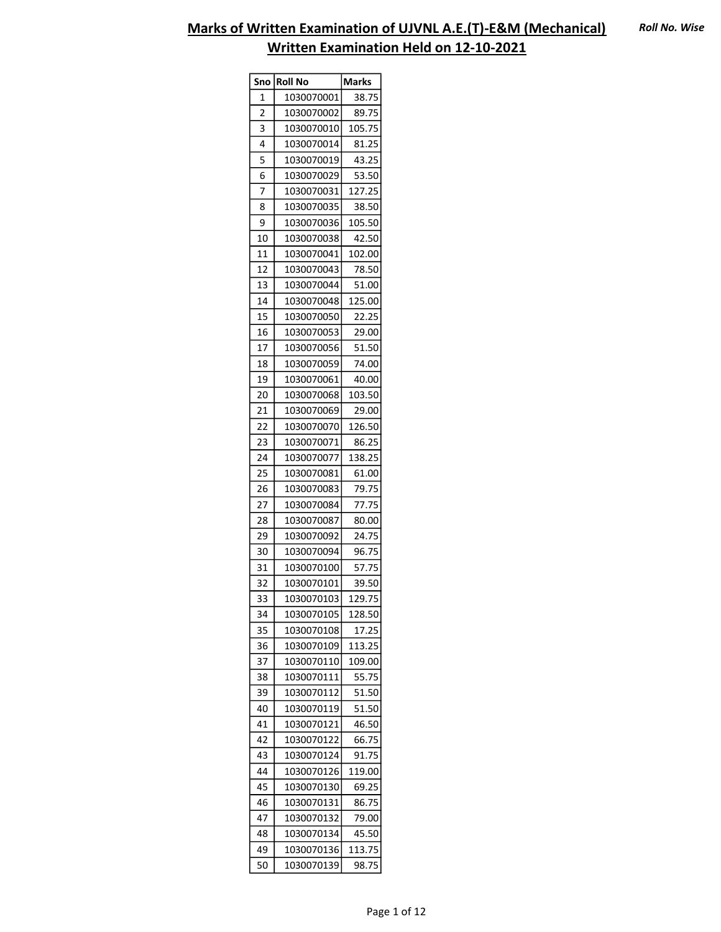| Sno            | <b>Roll No</b> | <b>Marks</b> |
|----------------|----------------|--------------|
| 1              | 1030070001     | 38.75        |
| $\overline{c}$ | 1030070002     | 89.75        |
| 3              | 1030070010     | 105.75       |
| 4              | 1030070014     | 81.25        |
| 5              | 1030070019     | 43.25        |
| 6              | 1030070029     | 53.50        |
| 7              | 1030070031     | 127.25       |
| 8              | 1030070035     | 38.50        |
| 9              | 1030070036     | 105.50       |
| 10             | 1030070038     | 42.50        |
| 11             | 1030070041     | 102.00       |
| 12             | 1030070043     | 78.50        |
| 13             | 1030070044     | 51.00        |
| 14             | 1030070048     | 125.00       |
| 15             | 1030070050     | 22.25        |
| 16             | 1030070053     | 29.00        |
| 17             | 1030070056     | 51.50        |
| 18             | 1030070059     | 74.00        |
| 19             | 1030070061     | 40.00        |
| 20             | 1030070068     | 103.50       |
| 21             | 1030070069     |              |
| 22             |                | 29.00        |
|                | 1030070070     | 126.50       |
| 23             | 1030070071     | 86.25        |
| 24             | 1030070077     | 138.25       |
| 25             | 1030070081     | 61.00        |
| 26             | 1030070083     | 79.75        |
| 27             | 1030070084     | 77.75        |
| 28             | 1030070087     | 80.00        |
| 29             | 1030070092     | 24.75        |
| 30             | 1030070094     | 96.75        |
| 31             | 1030070100     | 57.75        |
| 32             | 1030070101     | 39.50        |
| 33             | 1030070103     | 129.75       |
| 34             | 1030070105     | 128.50       |
| 35             | 1030070108     | 17.25        |
| 36             | 1030070109     | 113.25       |
| 37             | 1030070110     | 109.00       |
| 38             | 1030070111     | 55.75        |
| 39             | 1030070112     | 51.50        |
| 40             | 1030070119     | 51.50        |
| 41             | 1030070121     | 46.50        |
| 42             | 1030070122     | 66.75        |
| 43             | 1030070124     | 91.75        |
| 44             | 1030070126     | 119.00       |
| 45             | 1030070130     | 69.25        |
| 46             | 1030070131     | 86.75        |
| 47             | 1030070132     | 79.00        |
| 48             | 1030070134     | 45.50        |
| 49             | 1030070136     | 113.75       |
| 50             | 1030070139     | 98.75        |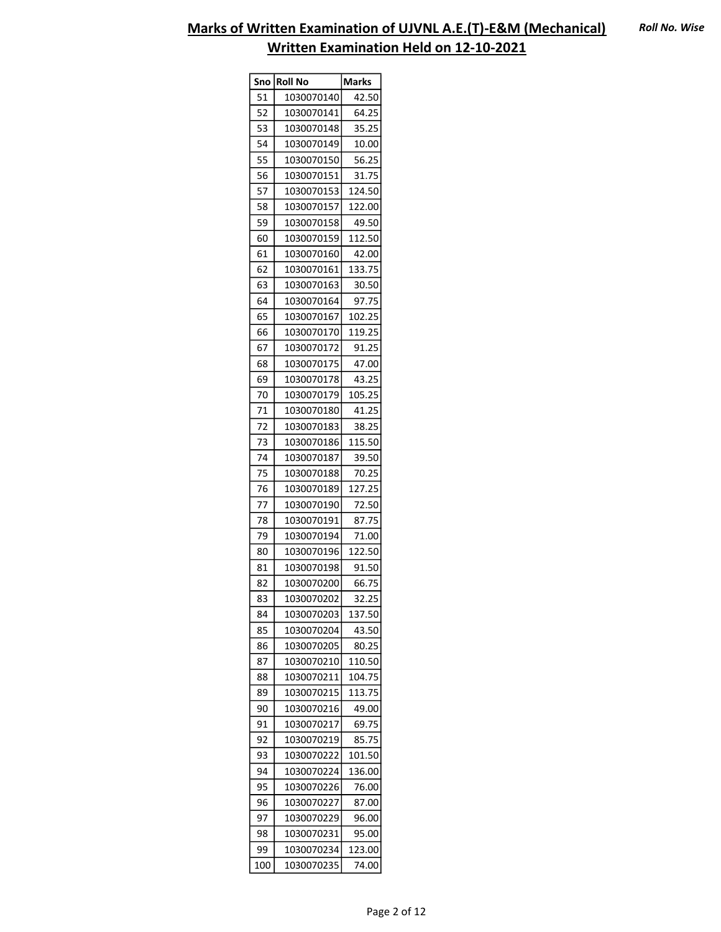| Sno | <b>Roll No</b> | <b>Marks</b> |
|-----|----------------|--------------|
| 51  | 1030070140     | 42.50        |
| 52  | 1030070141     | 64.25        |
| 53  | 1030070148     | 35.25        |
| 54  | 1030070149     | 10.00        |
| 55  | 1030070150     | 56.25        |
| 56  | 1030070151     | 31.75        |
| 57  | 1030070153     | 124.50       |
| 58  | 1030070157     | 122.00       |
| 59  | 1030070158     | 49.50        |
| 60  | 1030070159     | 112.50       |
| 61  | 1030070160     | 42.00        |
| 62  | 1030070161     | 133.75       |
| 63  | 1030070163     | 30.50        |
| 64  | 1030070164     | 97.75        |
| 65  | 1030070167     | 102.25       |
| 66  | 1030070170     | 119.25       |
| 67  | 1030070172     | 91.25        |
| 68  | 1030070175     | 47.00        |
| 69  | 1030070178     | 43.25        |
| 70  | 1030070179     | 105.25       |
| 71  | 1030070180     | 41.25        |
| 72  | 1030070183     | 38.25        |
| 73  | 1030070186     | 115.50       |
| 74  | 1030070187     | 39.50        |
| 75  | 1030070188     | 70.25        |
| 76  | 1030070189     | 127.25       |
| 77  | 1030070190     | 72.50        |
| 78  | 1030070191     | 87.75        |
| 79  | 1030070194     | 71.00        |
| 80  | 1030070196     | 122.50       |
| 81  | 1030070198     | 91.50        |
| 82  | 1030070200     | 66.75        |
| 83  | 1030070202     | 32.25        |
| 84  | 1030070203     | 137.50       |
| 85  | 1030070204     | 43.50        |
| 86  | 1030070205     | 80.25        |
| 87  | 1030070210     | 110.50       |
| 88  | 1030070211     | 104.75       |
| 89  | 1030070215     | 113.75       |
| 90  | 1030070216     | 49.00        |
| 91  | 1030070217     | 69.75        |
| 92  | 1030070219     | 85.75        |
| 93  | 1030070222     | 101.50       |
| 94  | 1030070224     | 136.00       |
| 95  | 1030070226     | 76.00        |
| 96  | 1030070227     | 87.00        |
| 97  | 1030070229     | 96.00        |
| 98  | 1030070231     | 95.00        |
| 99  | 1030070234     | 123.00       |
| 100 | 1030070235     | 74.00        |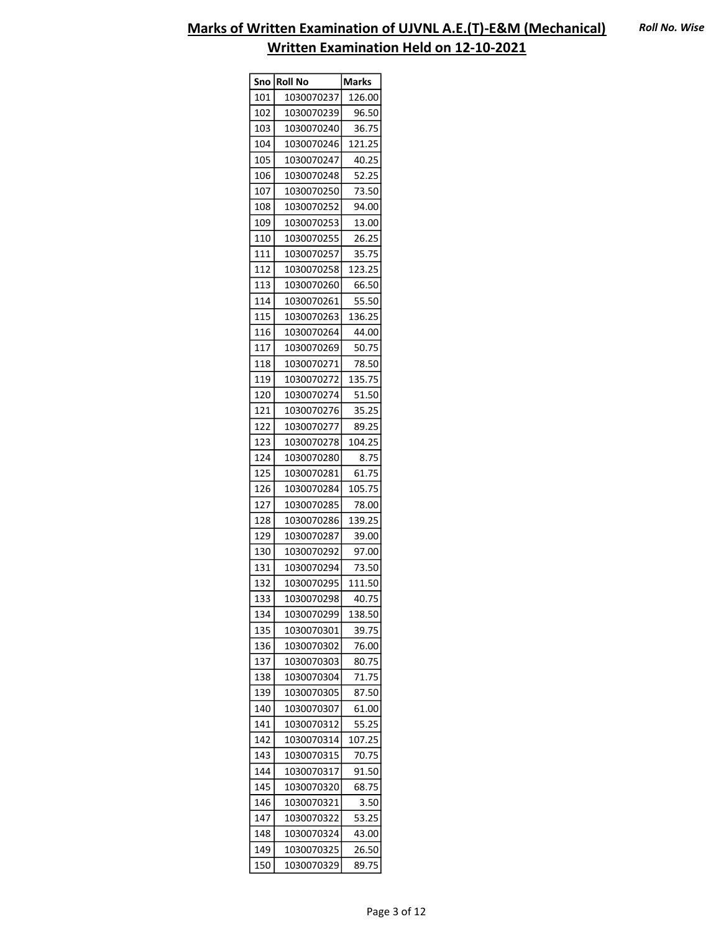|     | Sno Roll No | <b>Marks</b> |
|-----|-------------|--------------|
| 101 | 1030070237  | 126.00       |
| 102 | 1030070239  | 96.50        |
| 103 | 1030070240  | 36.75        |
| 104 | 1030070246  | 121.25       |
| 105 | 1030070247  | 40.25        |
| 106 | 1030070248  | 52.25        |
| 107 | 1030070250  | 73.50        |
| 108 | 1030070252  | 94.00        |
| 109 | 1030070253  | 13.00        |
| 110 | 1030070255  | 26.25        |
| 111 | 1030070257  | 35.75        |
| 112 | 1030070258  | 123.25       |
| 113 | 1030070260  | 66.50        |
| 114 | 1030070261  | 55.50        |
| 115 | 1030070263  | 136.25       |
| 116 | 1030070264  | 44.00        |
| 117 | 1030070269  | 50.75        |
| 118 | 1030070271  | 78.50        |
| 119 | 1030070272  | 135.75       |
| 120 | 1030070274  | 51.50        |
| 121 | 1030070276  | 35.25        |
| 122 | 1030070277  | 89.25        |
| 123 | 1030070278  | 104.25       |
| 124 | 1030070280  | 8.75         |
| 125 | 1030070281  | 61.75        |
| 126 | 1030070284  | 105.75       |
| 127 | 1030070285  | 78.00        |
| 128 | 1030070286  | 139.25       |
| 129 | 1030070287  | 39.00        |
| 130 | 1030070292  | 97.00        |
| 131 | 1030070294  | 73.50        |
| 132 | 1030070295  | 111.50       |
| 133 | 1030070298  | 40.75        |
| 134 | 1030070299  | 138.50       |
| 135 | 1030070301  | 39.75        |
| 136 | 1030070302  | 76.00        |
| 137 | 1030070303  | 80.75        |
| 138 | 1030070304  | 71.75        |
| 139 | 1030070305  | 87.50        |
| 140 | 1030070307  | 61.00        |
| 141 | 1030070312  | 55.25        |
| 142 | 1030070314  | 107.25       |
| 143 | 1030070315  | 70.75        |
| 144 | 1030070317  | 91.50        |
| 145 | 1030070320  | 68.75        |
| 146 | 1030070321  | 3.50         |
| 147 | 1030070322  | 53.25        |
| 148 | 1030070324  | 43.00        |
| 149 | 1030070325  | 26.50        |
| 150 | 1030070329  | 89.75        |
|     |             |              |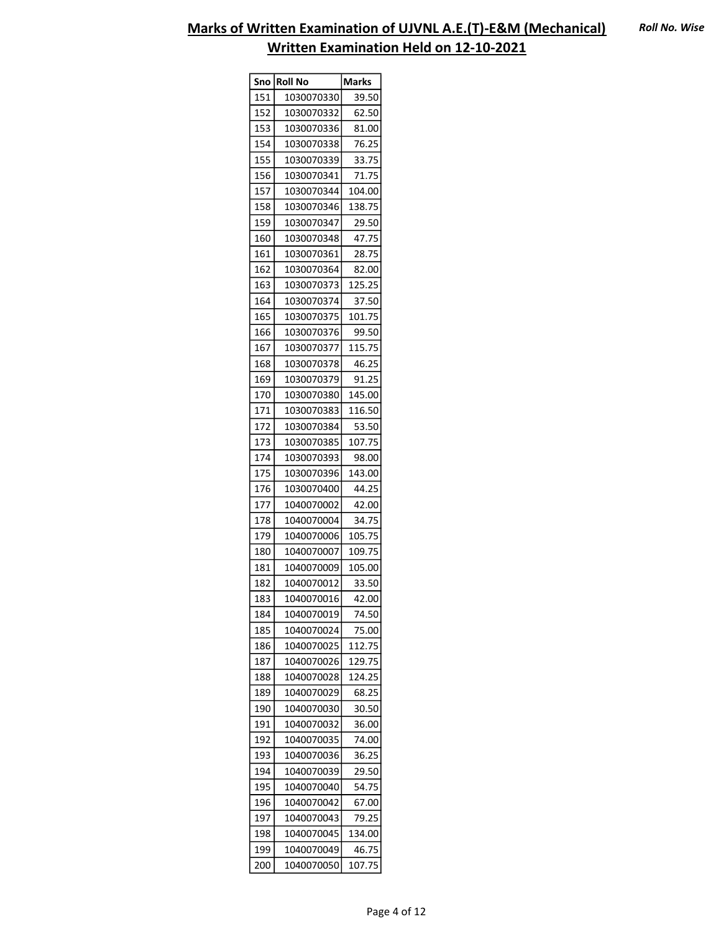| Sno l      | <b>Roll No</b>           | <b>Marks</b> |
|------------|--------------------------|--------------|
| 151        | 1030070330               | 39.50        |
| 152        | 1030070332               | 62.50        |
| 153        | 1030070336               | 81.00        |
| 154        | 1030070338               | 76.25        |
| 155        | 1030070339               | 33.75        |
| 156        | 1030070341               | 71.75        |
| 157        | 1030070344               | 104.00       |
| 158        | 1030070346               | 138.75       |
| 159        | 1030070347               | 29.50        |
| 160        | 1030070348               | 47.75        |
| 161        | 1030070361               | 28.75        |
| 162        | 1030070364               | 82.00        |
| 163        | 1030070373               | 125.25       |
| 164        | 1030070374               | 37.50        |
| 165        | 1030070375               | 101.75       |
| 166        | 1030070376               | 99.50        |
| 167        | 1030070377               | 115.75       |
| 168        | 1030070378               | 46.25        |
| 169        | 1030070379               | 91.25        |
| 170        | 1030070380               | 145.00       |
| 171        | 1030070383               | 116.50       |
| 172        | 1030070384               | 53.50        |
| 173        | 1030070385               | 107.75       |
| 174        | 1030070393               | 98.00        |
|            |                          | 143.00       |
| 175<br>176 | 1030070396               | 44.25        |
| 177        | 1030070400               |              |
|            | 1040070002               | 42.00        |
| 178        | 1040070004               | 34.75        |
| 179        | 1040070006               | 105.75       |
| 180<br>181 | 1040070007<br>1040070009 | 109.75       |
|            |                          | 105.00       |
| 182        | 1040070012               | 33.50        |
| 183        | 1040070016               | 42.00        |
| 184        | 1040070019               | 74.50        |
| 185        | 1040070024               | 75.00        |
| 186        | 1040070025               | 112.75       |
| 187        | 1040070026               | 129.75       |
| 188        | 1040070028               | 124.25       |
| 189        | 1040070029               | 68.25        |
| 190        | 1040070030               | 30.50        |
| 191        | 1040070032               | 36.00        |
| 192        | 1040070035               | 74.00        |
| 193        | 1040070036               | 36.25        |
| 194        | 1040070039               | 29.50        |
| 195        | 1040070040               | 54.75        |
| 196        | 1040070042               | 67.00        |
| 197        | 1040070043               | 79.25        |
| 198        | 1040070045               | 134.00       |
| 199        | 1040070049               | 46.75        |
| 200        | 1040070050               | 107.75       |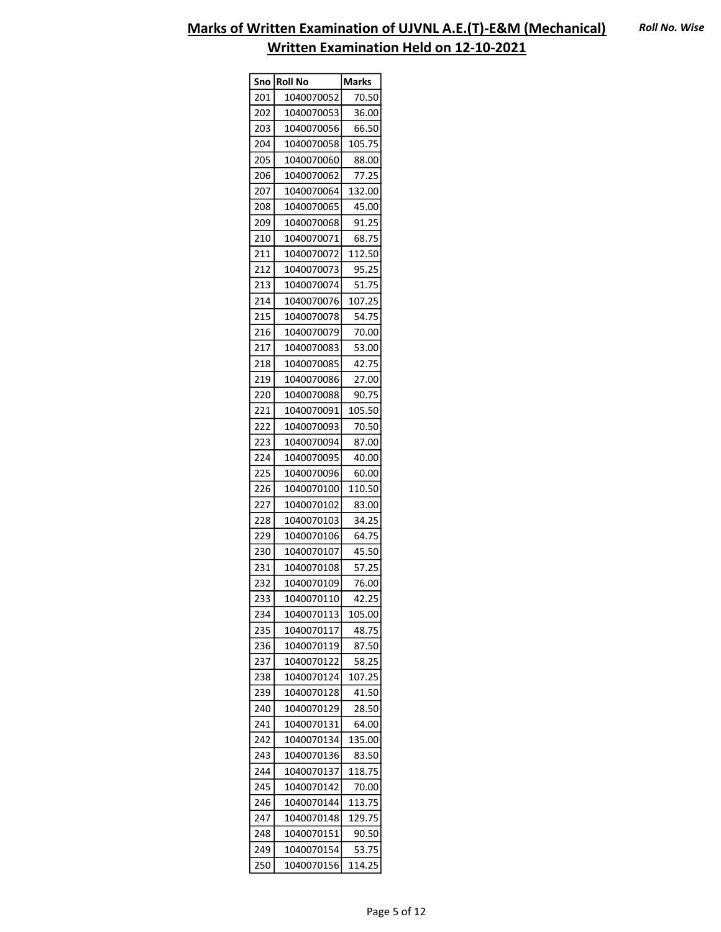| Sno | <b>Roll No</b> | <b>Marks</b> |
|-----|----------------|--------------|
| 201 | 1040070052     | 70.50        |
| 202 | 1040070053     | 36.00        |
| 203 | 1040070056     | 66.50        |
| 204 | 1040070058     | 105.75       |
| 205 | 1040070060     | 88.00        |
| 206 | 1040070062     | 77.25        |
| 207 | 1040070064     | 132.00       |
| 208 | 1040070065     | 45.00        |
| 209 | 1040070068     | 91.25        |
| 210 | 1040070071     | 68.75        |
| 211 | 1040070072     | 112.50       |
| 212 | 1040070073     | 95.25        |
| 213 | 1040070074     | 51.75        |
| 214 | 1040070076     | 107.25       |
| 215 | 1040070078     | 54.75        |
| 216 | 1040070079     | 70.00        |
| 217 | 1040070083     | 53.00        |
| 218 | 1040070085     | 42.75        |
| 219 | 1040070086     | 27.00        |
| 220 | 1040070088     | 90.75        |
| 221 | 1040070091     | 105.50       |
| 222 | 1040070093     | 70.50        |
|     |                |              |
| 223 | 1040070094     | 87.00        |
| 224 | 1040070095     | 40.00        |
| 225 | 1040070096     | 60.00        |
| 226 | 1040070100     | 110.50       |
| 227 | 1040070102     | 83.00        |
| 228 | 1040070103     | 34.25        |
| 229 | 1040070106     | 64.75        |
| 230 | 1040070107     | 45.50        |
| 231 | 1040070108     | 57.25        |
| 232 | 1040070109     | 76.00        |
| 233 | 1040070110     | 42.25        |
| 234 | 1040070113     | 105.00       |
| 235 | 1040070117     | 48.75        |
| 236 | 1040070119     | 87.50        |
| 237 | 1040070122     | 58.25        |
| 238 | 1040070124     | 107.25       |
| 239 | 1040070128     | 41.50        |
| 240 | 1040070129     | 28.50        |
| 241 | 1040070131     | 64.00        |
| 242 | 1040070134     | 135.00       |
| 243 | 1040070136     | 83.50        |
| 244 | 1040070137     | 118.75       |
| 245 | 1040070142     | 70.00        |
| 246 | 1040070144     | 113.75       |
| 247 | 1040070148     | 129.75       |
| 248 | 1040070151     | 90.50        |
| 249 | 1040070154     | 53.75        |
| 250 | 1040070156     | 114.25       |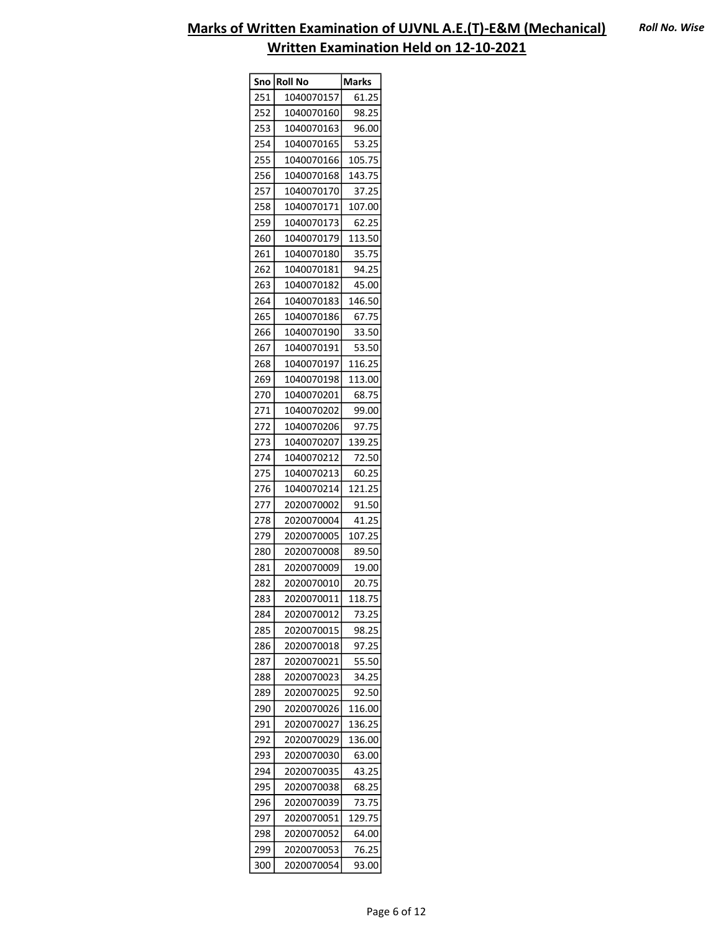|     | Sno Roll No | <b>Marks</b> |
|-----|-------------|--------------|
| 251 | 1040070157  | 61.25        |
| 252 | 1040070160  | 98.25        |
| 253 | 1040070163  | 96.00        |
| 254 | 1040070165  | 53.25        |
| 255 | 1040070166  | 105.75       |
| 256 | 1040070168  | 143.75       |
| 257 | 1040070170  | 37.25        |
| 258 | 1040070171  | 107.00       |
| 259 | 1040070173  | 62.25        |
| 260 | 1040070179  | 113.50       |
| 261 | 1040070180  | 35.75        |
| 262 | 1040070181  | 94.25        |
| 263 | 1040070182  | 45.00        |
| 264 | 1040070183  | 146.50       |
| 265 | 1040070186  | 67.75        |
| 266 | 1040070190  | 33.50        |
| 267 | 1040070191  | 53.50        |
| 268 | 1040070197  | 116.25       |
| 269 | 1040070198  | 113.00       |
| 270 | 1040070201  | 68.75        |
| 271 | 1040070202  | 99.00        |
| 272 | 1040070206  | 97.75        |
| 273 | 1040070207  | 139.25       |
| 274 | 1040070212  | 72.50        |
| 275 | 1040070213  | 60.25        |
| 276 | 1040070214  | 121.25       |
| 277 | 2020070002  | 91.50        |
| 278 | 2020070004  | 41.25        |
| 279 | 2020070005  | 107.25       |
| 280 | 2020070008  | 89.50        |
| 281 | 2020070009  | 19.00        |
| 282 | 2020070010  | 20.75        |
|     |             |              |
| 283 | 2020070011  | 118.75       |
| 284 | 2020070012  | 73.25        |
| 285 | 2020070015  | 98.25        |
| 286 | 2020070018  | 97.25        |
| 287 | 2020070021  | 55.50        |
| 288 | 2020070023  | 34.25        |
| 289 | 2020070025  | 92.50        |
| 290 | 2020070026  | 116.00       |
| 291 | 2020070027  | 136.25       |
| 292 | 2020070029  | 136.00       |
| 293 | 2020070030  | 63.00        |
| 294 | 2020070035  | 43.25        |
| 295 | 2020070038  | 68.25        |
| 296 | 2020070039  | 73.75        |
| 297 | 2020070051  | 129.75       |
| 298 | 2020070052  | 64.00        |
| 299 | 2020070053  | 76.25        |
| 300 | 2020070054  | 93.00        |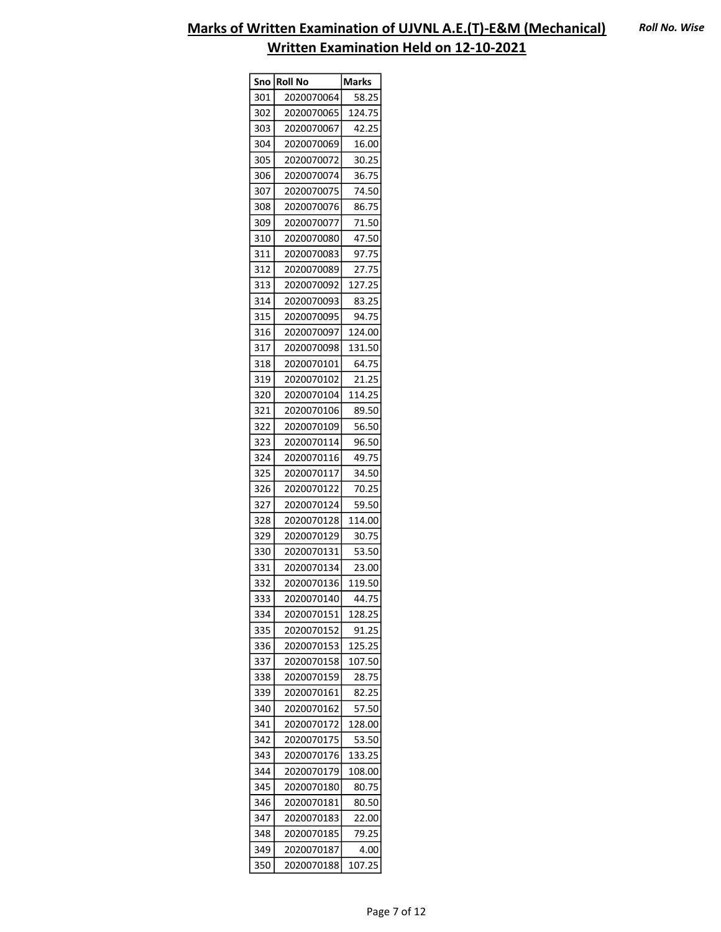| Sno | Roll No    | <b>Marks</b> |
|-----|------------|--------------|
| 301 | 2020070064 | 58.25        |
| 302 | 2020070065 | 124.75       |
| 303 | 2020070067 | 42.25        |
| 304 | 2020070069 | 16.00        |
| 305 | 2020070072 | 30.25        |
| 306 | 2020070074 | 36.75        |
| 307 | 2020070075 | 74.50        |
| 308 | 2020070076 | 86.75        |
| 309 | 2020070077 | 71.50        |
| 310 | 2020070080 | 47.50        |
| 311 | 2020070083 | 97.75        |
| 312 | 2020070089 | 27.75        |
| 313 | 2020070092 | 127.25       |
| 314 | 2020070093 | 83.25        |
| 315 | 2020070095 | 94.75        |
| 316 | 2020070097 | 124.00       |
| 317 | 2020070098 | 131.50       |
| 318 | 2020070101 | 64.75        |
| 319 | 2020070102 | 21.25        |
| 320 | 2020070104 | 114.25       |
| 321 | 2020070106 | 89.50        |
| 322 | 2020070109 | 56.50        |
| 323 | 2020070114 | 96.50        |
| 324 | 2020070116 | 49.75        |
| 325 | 2020070117 | 34.50        |
| 326 | 2020070122 | 70.25        |
| 327 | 2020070124 | 59.50        |
| 328 | 2020070128 | 114.00       |
| 329 | 2020070129 | 30.75        |
| 330 | 2020070131 | 53.50        |
| 331 | 2020070134 | 23.00        |
| 332 | 2020070136 | 119.50       |
| 333 | 2020070140 | 44.75        |
| 334 | 2020070151 | 128.25       |
| 335 | 2020070152 | 91.25        |
| 336 | 2020070153 | 125.25       |
| 337 | 2020070158 | 107.50       |
| 338 | 2020070159 | 28.75        |
| 339 | 2020070161 | 82.25        |
| 340 | 2020070162 | 57.50        |
| 341 | 2020070172 | 128.00       |
| 342 | 2020070175 | 53.50        |
| 343 | 2020070176 | 133.25       |
| 344 | 2020070179 | 108.00       |
| 345 | 2020070180 | 80.75        |
| 346 | 2020070181 | 80.50        |
| 347 | 2020070183 | 22.00        |
| 348 | 2020070185 | 79.25        |
| 349 | 2020070187 | 4.00         |
| 350 | 2020070188 | 107.25       |
|     |            |              |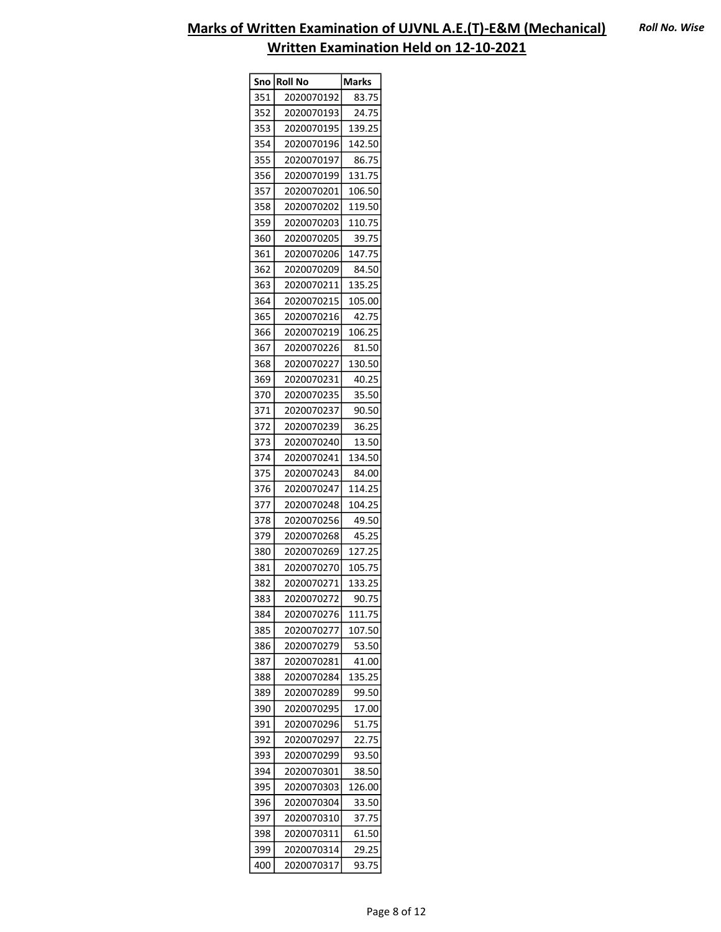| Sno | Roll No    | Marks  |
|-----|------------|--------|
| 351 | 2020070192 | 83.75  |
| 352 | 2020070193 | 24.75  |
| 353 | 2020070195 | 139.25 |
| 354 | 2020070196 | 142.50 |
| 355 | 2020070197 | 86.75  |
| 356 | 2020070199 | 131.75 |
| 357 | 2020070201 | 106.50 |
| 358 | 2020070202 | 119.50 |
| 359 | 2020070203 | 110.75 |
| 360 | 2020070205 | 39.75  |
| 361 | 2020070206 | 147.75 |
| 362 | 2020070209 | 84.50  |
| 363 | 2020070211 | 135.25 |
| 364 | 2020070215 | 105.00 |
| 365 | 2020070216 | 42.75  |
| 366 | 2020070219 | 106.25 |
| 367 | 2020070226 | 81.50  |
| 368 | 2020070227 | 130.50 |
| 369 | 2020070231 | 40.25  |
| 370 | 2020070235 | 35.50  |
| 371 | 2020070237 | 90.50  |
| 372 | 2020070239 | 36.25  |
| 373 |            | 13.50  |
|     | 2020070240 |        |
| 374 | 2020070241 | 134.50 |
| 375 | 2020070243 | 84.00  |
| 376 | 2020070247 | 114.25 |
| 377 | 2020070248 | 104.25 |
| 378 | 2020070256 | 49.50  |
| 379 | 2020070268 | 45.25  |
| 380 | 2020070269 | 127.25 |
| 381 | 2020070270 | 105.75 |
| 382 | 2020070271 | 133.25 |
| 383 | 2020070272 | 90.75  |
| 384 | 2020070276 | 111.75 |
| 385 | 2020070277 | 107.50 |
| 386 | 2020070279 | 53.50  |
| 387 | 2020070281 | 41.00  |
| 388 | 2020070284 | 135.25 |
| 389 | 2020070289 | 99.50  |
| 390 | 2020070295 | 17.00  |
| 391 | 2020070296 | 51.75  |
| 392 | 2020070297 | 22.75  |
| 393 | 2020070299 | 93.50  |
| 394 | 2020070301 | 38.50  |
| 395 | 2020070303 | 126.00 |
| 396 | 2020070304 | 33.50  |
| 397 | 2020070310 | 37.75  |
| 398 | 2020070311 | 61.50  |
| 399 | 2020070314 | 29.25  |
| 400 | 2020070317 | 93.75  |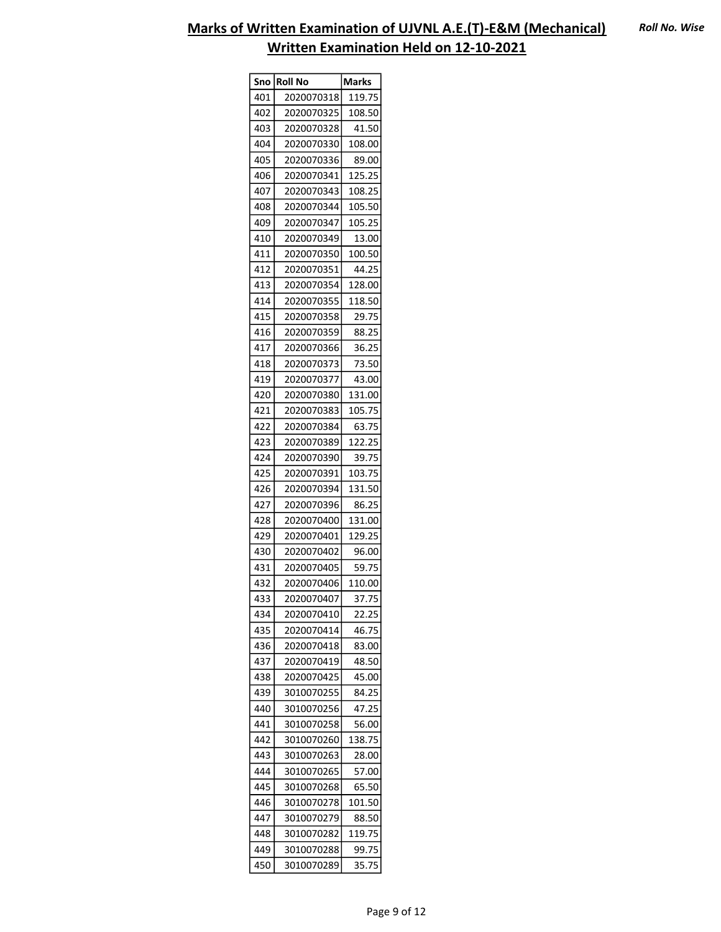|     | Sno  Roll No | Marks            |
|-----|--------------|------------------|
| 401 | 2020070318   | 119.75           |
| 402 | 2020070325   | 108.50           |
| 403 | 2020070328   | 41.50            |
| 404 | 2020070330   | 108.00           |
| 405 | 2020070336   | 89.00            |
| 406 | 2020070341   | 125.25           |
| 407 | 2020070343   | 108.25           |
| 408 | 2020070344   | 105.50           |
| 409 | 2020070347   | 105.25           |
| 410 | 2020070349   | 13.00            |
| 411 | 2020070350   | 100.50           |
| 412 | 2020070351   | 44.25            |
| 413 | 2020070354   | 128.00           |
| 414 | 2020070355   | 118.50           |
| 415 | 2020070358   | 29.75            |
| 416 | 2020070359   | 88.25            |
| 417 | 2020070366   | 36.25            |
| 418 | 2020070373   | 73.50            |
| 419 | 2020070377   | 43.00            |
| 420 | 2020070380   |                  |
|     |              | 131.00<br>105.75 |
| 421 | 2020070383   |                  |
| 422 | 2020070384   | 63.75            |
| 423 | 2020070389   | 122.25           |
| 424 | 2020070390   | 39.75            |
| 425 | 2020070391   | 103.75           |
| 426 | 2020070394   | 131.50           |
| 427 | 2020070396   | 86.25            |
| 428 | 2020070400   | 131.00           |
| 429 | 2020070401   | 129.25           |
| 430 | 2020070402   | 96.00            |
| 431 | 2020070405   | 59.75            |
| 432 | 2020070406   | 110.00           |
| 433 | 2020070407   | 37.75            |
| 434 | 2020070410   | 22.25            |
| 435 | 2020070414   | 46.75            |
| 436 | 2020070418   | 83.00            |
| 437 | 2020070419   | 48.50            |
| 438 | 2020070425   | 45.00            |
| 439 | 3010070255   | 84.25            |
| 440 | 3010070256   | 47.25            |
| 441 | 3010070258   | 56.00            |
| 442 | 3010070260   | 138.75           |
| 443 | 3010070263   | 28.00            |
| 444 | 3010070265   | 57.00            |
| 445 | 3010070268   | 65.50            |
| 446 | 3010070278   | 101.50           |
| 447 | 3010070279   | 88.50            |
| 448 | 3010070282   | 119.75           |
| 449 | 3010070288   | 99.75            |
| 450 | 3010070289   | 35.75            |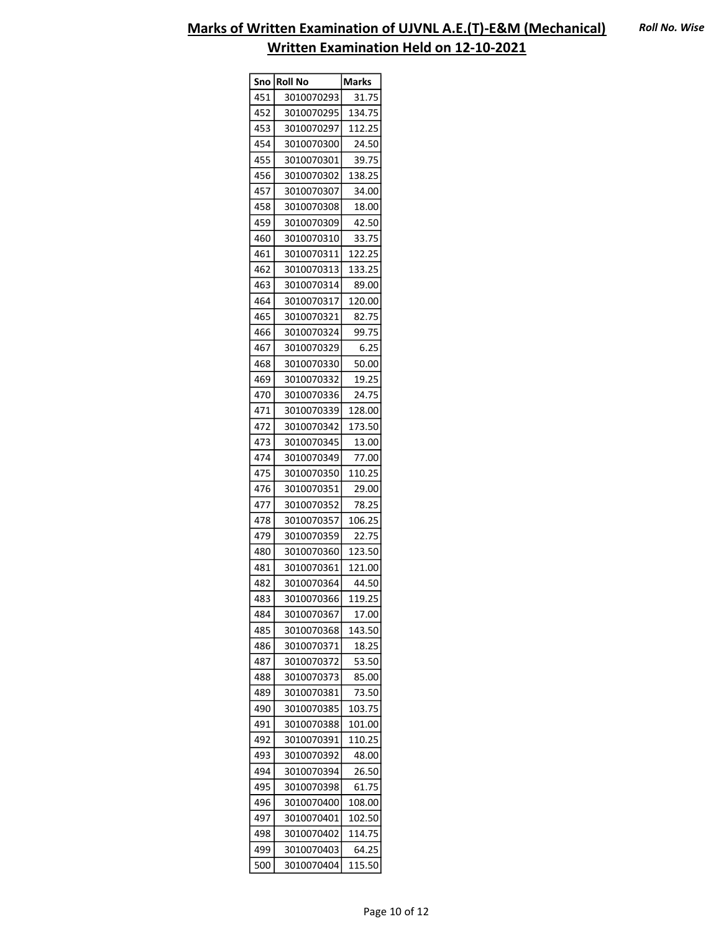| Sno l | Roll No    | <b>Marks</b> |
|-------|------------|--------------|
| 451   | 3010070293 | 31.75        |
| 452   | 3010070295 | 134.75       |
| 453   | 3010070297 | 112.25       |
| 454   | 3010070300 | 24.50        |
| 455   | 3010070301 | 39.75        |
| 456   | 3010070302 | 138.25       |
| 457   | 3010070307 | 34.00        |
| 458   | 3010070308 | 18.00        |
| 459   | 3010070309 | 42.50        |
| 460   | 3010070310 | 33.75        |
| 461   | 3010070311 | 122.25       |
| 462   | 3010070313 | 133.25       |
| 463   | 3010070314 | 89.00        |
| 464   | 3010070317 | 120.00       |
| 465   | 3010070321 | 82.75        |
| 466   | 3010070324 | 99.75        |
| 467   | 3010070329 | 6.25         |
| 468   | 3010070330 | 50.00        |
| 469   | 3010070332 | 19.25        |
| 470   | 3010070336 | 24.75        |
| 471   | 3010070339 | 128.00       |
| 472   | 3010070342 | 173.50       |
| 473   | 3010070345 | 13.00        |
| 474   | 3010070349 | 77.00        |
| 475   | 3010070350 | 110.25       |
| 476   | 3010070351 | 29.00        |
| 477   | 3010070352 | 78.25        |
| 478   | 3010070357 | 106.25       |
| 479   | 3010070359 | 22.75        |
| 480   | 3010070360 | 123.50       |
| 481   | 3010070361 | 121.00       |
| 482   | 3010070364 | 44.50        |
| 483   | 3010070366 | 119.25       |
| 484   | 3010070367 | 17.00        |
| 485   | 3010070368 | 143.50       |
| 486   | 3010070371 | 18.25        |
| 487   | 3010070372 | 53.50        |
| 488   | 3010070373 | 85.00        |
| 489   | 3010070381 | 73.50        |
| 490   | 3010070385 | 103.75       |
| 491   | 3010070388 | 101.00       |
| 492   | 3010070391 | 110.25       |
| 493   | 3010070392 | 48.00        |
| 494   | 3010070394 | 26.50        |
| 495   | 3010070398 | 61.75        |
| 496   | 3010070400 | 108.00       |
| 497   | 3010070401 | 102.50       |
| 498   | 3010070402 | 114.75       |
| 499   | 3010070403 | 64.25        |
| 500   | 3010070404 | 115.50       |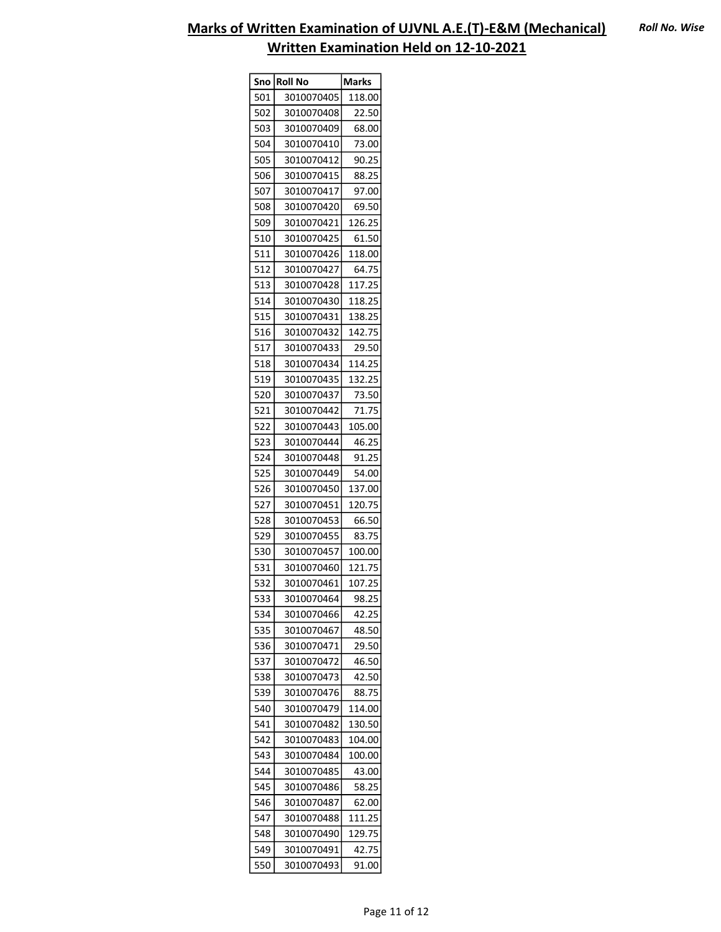|            | Sno   Roll No            | Marks            |
|------------|--------------------------|------------------|
| 501        | 3010070405               | 118.00           |
| 502        | 3010070408               | 22.50            |
| 503        | 3010070409               | 68.00            |
| 504        | 3010070410               | 73.00            |
| 505        | 3010070412               | 90.25            |
| 506        | 3010070415               | 88.25            |
| 507        | 3010070417               | 97.00            |
| 508        | 3010070420               | 69.50            |
| 509        | 3010070421               | 126.25           |
| 510        | 3010070425               | 61.50            |
| 511        | 3010070426               | 118.00           |
| 512        | 3010070427               | 64.75            |
| 513        | 3010070428               | 117.25           |
| 514        | 3010070430               | 118.25           |
| 515        | 3010070431               | 138.25           |
| 516        | 3010070432               | 142.75           |
| 517        | 3010070433               | 29.50            |
| 518        | 3010070434               | 114.25           |
| 519        | 3010070435               | 132.25           |
| 520        | 3010070437               | 73.50            |
| 521        | 3010070442               | 71.75            |
| 522        | 3010070443               | 105.00           |
| 523        | 3010070444               | 46.25            |
| 524        | 3010070448               | 91.25            |
| 525        | 3010070449               | 54.00            |
| 526        | 3010070450               | 137.00           |
| 527        | 3010070451               | 120.75           |
| 528        | 3010070453               | 66.50            |
| 529        | 3010070455               | 83.75            |
| 530        | 3010070457               | 100.00           |
| 531        | 3010070460               | 121.75           |
| 532        | 3010070461               | 107.25           |
| 533        | 3010070464               | 98.25            |
| 534        | 3010070466               | 42.25            |
| 535        | 3010070467               | 48.50            |
| 536        | 3010070471               | 29.50            |
| 537        | 3010070472               | 46.50            |
| 538        | 3010070473               | 42.50            |
| 539        | 3010070476               | 88.75            |
| 540        | 3010070479               |                  |
| 541        | 3010070482               | 114.00<br>130.50 |
|            |                          | 104.00           |
| 542<br>543 | 3010070483               |                  |
| 544        | 3010070484               | 100.00<br>43.00  |
| 545        | 3010070485<br>3010070486 | 58.25            |
|            |                          |                  |
| 546        | 3010070487               | 62.00            |
| 547        | 3010070488               | 111.25           |
| 548        | 3010070490               | 129.75<br>42.75  |
| 549        | 3010070491               |                  |
| 550        | 3010070493               | 91.00            |